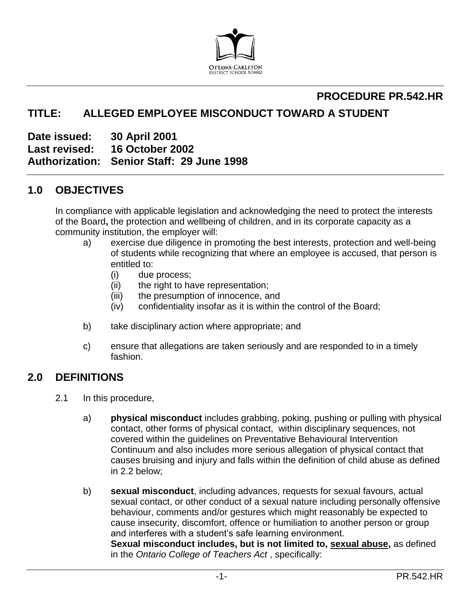

# **PROCEDURE PR.542.HR**

# **TITLE: ALLEGED EMPLOYEE MISCONDUCT TOWARD A STUDENT**

**Date issued: 30 April 2001 Last revised: 16 October 2002 Authorization: Senior Staff: 29 June 1998** 

## **1.0 OBJECTIVES**

In compliance with applicable legislation and acknowledging the need to protect the interests of the Board**,** the protection and wellbeing of children, and in its corporate capacity as a community institution, the employer will:

- a) exercise due diligence in promoting the best interests, protection and well-being of students while recognizing that where an employee is accused, that person is entitled to:
	- (i) due process;
	- (ii) the right to have representation;
	- (iii) the presumption of innocence, and
	- (iv) confidentiality insofar as it is within the control of the Board;
- b) take disciplinary action where appropriate; and
- c) ensure that allegations are taken seriously and are responded to in a timely fashion.

## **2.0 DEFINITIONS**

- 2.1 In this procedure,
	- a) **physical misconduct** includes grabbing, poking, pushing or pulling with physical contact, other forms of physical contact, within disciplinary sequences, not covered within the guidelines on Preventative Behavioural Intervention Continuum and also includes more serious allegation of physical contact that causes bruising and injury and falls within the definition of child abuse as defined in 2.2 below;
	- b) **sexual misconduct**, including advances, requests for sexual favours, actual sexual contact, or other conduct of a sexual nature including personally offensive behaviour, comments and/or gestures which might reasonably be expected to cause insecurity, discomfort, offence or humiliation to another person or group and interferes with a student's safe learning environment. **Sexual misconduct includes, but is not limited to, sexual abuse,** as defined in the *Ontario College of Teachers Act* , specifically: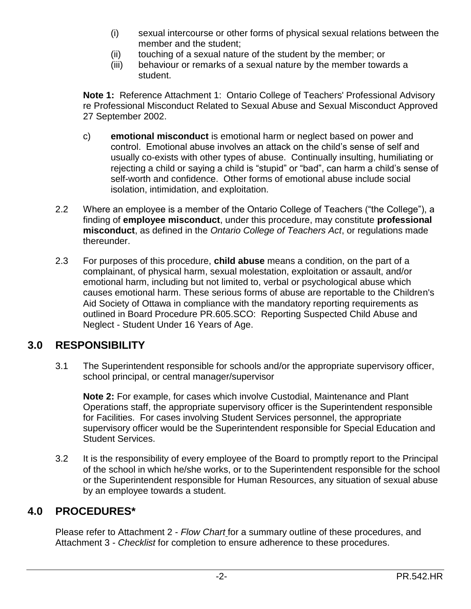- (i) sexual intercourse or other forms of physical sexual relations between the member and the student;
- (ii) touching of a sexual nature of the student by the member; or
- (iii) behaviour or remarks of a sexual nature by the member towards a student.

**Note 1:** Reference Attachment 1: Ontario College of Teachers' Professional Advisory re Professional Misconduct Related to Sexual Abuse and Sexual Misconduct Approved 27 September 2002.

- c) **emotional misconduct** is emotional harm or neglect based on power and control. Emotional abuse involves an attack on the child's sense of self and usually co-exists with other types of abuse. Continually insulting, humiliating or rejecting a child or saying a child is "stupid" or "bad", can harm a child's sense of self-worth and confidence. Other forms of emotional abuse include social isolation, intimidation, and exploitation.
- 2.2 Where an employee is a member of the Ontario College of Teachers ("the College"), a finding of **employee misconduct**, under this procedure, may constitute **professional misconduct**, as defined in the *Ontario College of Teachers Act*, or regulations made thereunder.
- 2.3 For purposes of this procedure, **child abuse** means a condition, on the part of a complainant, of physical harm, sexual molestation, exploitation or assault, and/or emotional harm, including but not limited to, verbal or psychological abuse which causes emotional harm. These serious forms of abuse are reportable to the Children's Aid Society of Ottawa in compliance with the mandatory reporting requirements as outlined in Board Procedure PR.605.SCO: Reporting Suspected Child Abuse and Neglect - Student Under 16 Years of Age.

# **3.0 RESPONSIBILITY**

3.1 The Superintendent responsible for schools and/or the appropriate supervisory officer, school principal, or central manager/supervisor

**Note 2:** For example, for cases which involve Custodial, Maintenance and Plant Operations staff, the appropriate supervisory officer is the Superintendent responsible for Facilities. For cases involving Student Services personnel, the appropriate supervisory officer would be the Superintendent responsible for Special Education and Student Services.

3.2 It is the responsibility of every employee of the Board to promptly report to the Principal of the school in which he/she works, or to the Superintendent responsible for the school or the Superintendent responsible for Human Resources, any situation of sexual abuse by an employee towards a student.

# **4.0 PROCEDURES\***

Please refer to Attachment 2 - *Flow Chart* for a summary outline of these procedures, and Attachment 3 - *Checklist* for completion to ensure adherence to these procedures.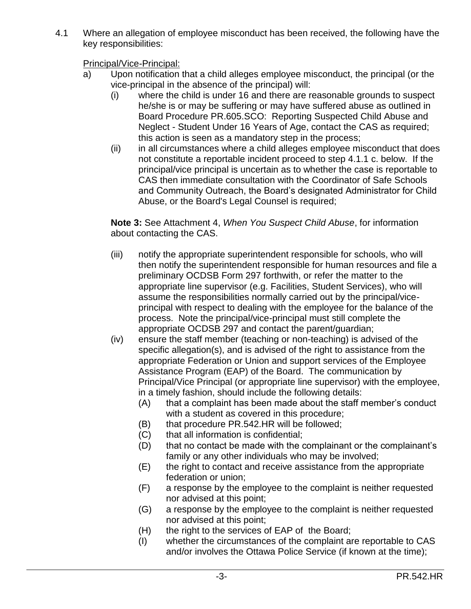4.1 Where an allegation of employee misconduct has been received, the following have the key responsibilities:

Principal/Vice-Principal:

- a) Upon notification that a child alleges employee misconduct, the principal (or the vice-principal in the absence of the principal) will:
	- (i) where the child is under 16 and there are reasonable grounds to suspect he/she is or may be suffering or may have suffered abuse as outlined in Board Procedure PR.605.SCO: Reporting Suspected Child Abuse and Neglect - Student Under 16 Years of Age, contact the CAS as required; this action is seen as a mandatory step in the process;
	- (ii) in all circumstances where a child alleges employee misconduct that does not constitute a reportable incident proceed to step 4.1.1 c. below. If the principal/vice principal is uncertain as to whether the case is reportable to CAS then immediate consultation with the Coordinator of Safe Schools and Community Outreach, the Board's designated Administrator for Child Abuse, or the Board's Legal Counsel is required;

**Note 3:** See Attachment 4, *When You Suspect Child Abuse*, for information about contacting the CAS.

- (iii) notify the appropriate superintendent responsible for schools, who will then notify the superintendent responsible for human resources and file a preliminary OCDSB Form 297 forthwith, or refer the matter to the appropriate line supervisor (e.g. Facilities, Student Services), who will assume the responsibilities normally carried out by the principal/viceprincipal with respect to dealing with the employee for the balance of the process. Note the principal/vice-principal must still complete the appropriate OCDSB 297 and contact the parent/guardian;
- (iv) ensure the staff member (teaching or non-teaching) is advised of the specific allegation(s), and is advised of the right to assistance from the appropriate Federation or Union and support services of the Employee Assistance Program (EAP) of the Board. The communication by Principal/Vice Principal (or appropriate line supervisor) with the employee, in a timely fashion, should include the following details:
	- (A) that a complaint has been made about the staff member's conduct with a student as covered in this procedure;
	- (B) that procedure PR.542.HR will be followed;
	- (C) that all information is confidential;
	- (D) that no contact be made with the complainant or the complainant's family or any other individuals who may be involved;
	- (E) the right to contact and receive assistance from the appropriate federation or union;
	- (F) a response by the employee to the complaint is neither requested nor advised at this point;
	- (G) a response by the employee to the complaint is neither requested nor advised at this point;
	- (H) the right to the services of EAP of the Board;
	- (I) whether the circumstances of the complaint are reportable to CAS and/or involves the Ottawa Police Service (if known at the time);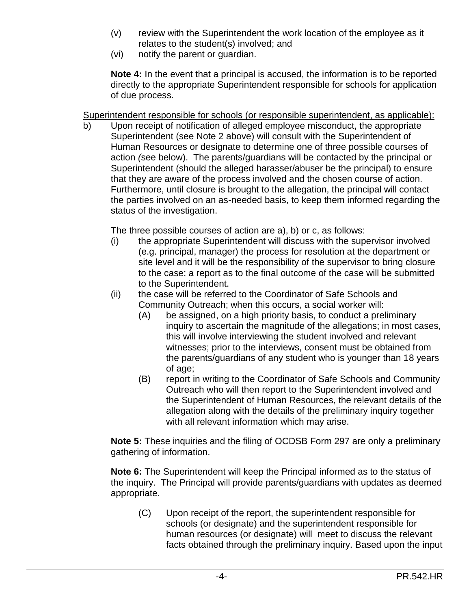- (v) review with the Superintendent the work location of the employee as it relates to the student(s) involved; and
- (vi) notify the parent or guardian.

**Note 4:** In the event that a principal is accused, the information is to be reported directly to the appropriate Superintendent responsible for schools for application of due process.

Superintendent responsible for schools (or responsible superintendent, as applicable):

b) Upon receipt of notification of alleged employee misconduct, the appropriate Superintendent (see Note 2 above) will consult with the Superintendent of Human Resources or designate to determine one of three possible courses of action *(*see below). The parents/guardians will be contacted by the principal or Superintendent (should the alleged harasser/abuser be the principal) to ensure that they are aware of the process involved and the chosen course of action. Furthermore, until closure is brought to the allegation, the principal will contact the parties involved on an as-needed basis, to keep them informed regarding the status of the investigation.

The three possible courses of action are a), b) or c, as follows:

- (i) the appropriate Superintendent will discuss with the supervisor involved (e.g. principal, manager) the process for resolution at the department or site level and it will be the responsibility of the supervisor to bring closure to the case; a report as to the final outcome of the case will be submitted to the Superintendent.
- (ii) the case will be referred to the Coordinator of Safe Schools and Community Outreach; when this occurs, a social worker will:
	- (A) be assigned, on a high priority basis, to conduct a preliminary inquiry to ascertain the magnitude of the allegations; in most cases, this will involve interviewing the student involved and relevant witnesses; prior to the interviews, consent must be obtained from the parents/guardians of any student who is younger than 18 years of age;
	- (B) report in writing to the Coordinator of Safe Schools and Community Outreach who will then report to the Superintendent involved and the Superintendent of Human Resources, the relevant details of the allegation along with the details of the preliminary inquiry together with all relevant information which may arise.

**Note 5:** These inquiries and the filing of OCDSB Form 297 are only a preliminary gathering of information.

**Note 6:** The Superintendent will keep the Principal informed as to the status of the inquiry. The Principal will provide parents/guardians with updates as deemed appropriate.

(C) Upon receipt of the report, the superintendent responsible for schools (or designate) and the superintendent responsible for human resources (or designate) will meet to discuss the relevant facts obtained through the preliminary inquiry. Based upon the input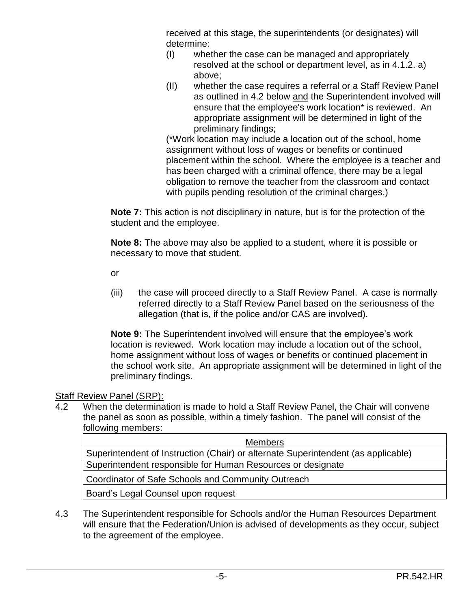received at this stage, the superintendents (or designates) will determine:

- (I) whether the case can be managed and appropriately resolved at the school or department level, as in 4.1.2. a) above;
- (II) whether the case requires a referral or a Staff Review Panel as outlined in 4.2 below and the Superintendent involved will ensure that the employee's work location\* is reviewed. An appropriate assignment will be determined in light of the preliminary findings;

(\*Work location may include a location out of the school, home assignment without loss of wages or benefits or continued placement within the school. Where the employee is a teacher and has been charged with a criminal offence, there may be a legal obligation to remove the teacher from the classroom and contact with pupils pending resolution of the criminal charges.)

**Note 7:** This action is not disciplinary in nature, but is for the protection of the student and the employee.

**Note 8:** The above may also be applied to a student, where it is possible or necessary to move that student.

or

(iii) the case will proceed directly to a Staff Review Panel. A case is normally referred directly to a Staff Review Panel based on the seriousness of the allegation (that is, if the police and/or CAS are involved).

**Note 9:** The Superintendent involved will ensure that the employee's work location is reviewed. Work location may include a location out of the school, home assignment without loss of wages or benefits or continued placement in the school work site. An appropriate assignment will be determined in light of the preliminary findings.

## Staff Review Panel (SRP):

4.2 When the determination is made to hold a Staff Review Panel, the Chair will convene the panel as soon as possible, within a timely fashion. The panel will consist of the following members:

| <b>Members</b>                                                                    |
|-----------------------------------------------------------------------------------|
| Superintendent of Instruction (Chair) or alternate Superintendent (as applicable) |
| Superintendent responsible for Human Resources or designate                       |
| Coordinator of Safe Schools and Community Outreach                                |
| Board's Legal Counsel upon request                                                |

4.3 The Superintendent responsible for Schools and/or the Human Resources Department will ensure that the Federation/Union is advised of developments as they occur, subject to the agreement of the employee.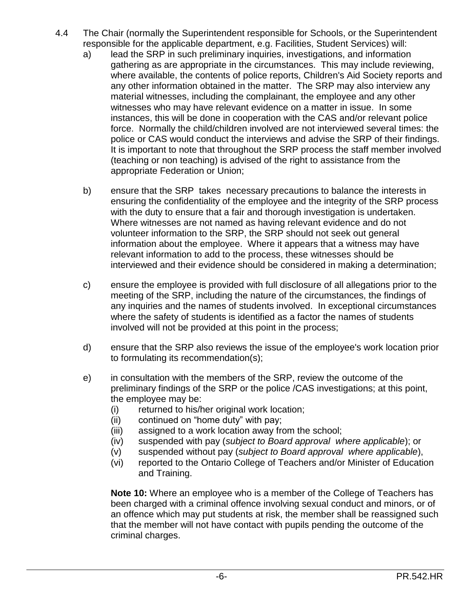- 4.4 The Chair (normally the Superintendent responsible for Schools, or the Superintendent responsible for the applicable department, e.g. Facilities, Student Services) will:
	- a) lead the SRP in such preliminary inquiries, investigations, and information gathering as are appropriate in the circumstances. This may include reviewing, where available, the contents of police reports, Children's Aid Society reports and any other information obtained in the matter. The SRP may also interview any material witnesses, including the complainant, the employee and any other witnesses who may have relevant evidence on a matter in issue. In some instances, this will be done in cooperation with the CAS and/or relevant police force. Normally the child/children involved are not interviewed several times: the police or CAS would conduct the interviews and advise the SRP of their findings. It is important to note that throughout the SRP process the staff member involved (teaching or non teaching) is advised of the right to assistance from the appropriate Federation or Union;
	- b) ensure that the SRP takes necessary precautions to balance the interests in ensuring the confidentiality of the employee and the integrity of the SRP process with the duty to ensure that a fair and thorough investigation is undertaken. Where witnesses are not named as having relevant evidence and do not volunteer information to the SRP, the SRP should not seek out general information about the employee. Where it appears that a witness may have relevant information to add to the process, these witnesses should be interviewed and their evidence should be considered in making a determination;
	- c) ensure the employee is provided with full disclosure of all allegations prior to the meeting of the SRP, including the nature of the circumstances, the findings of any inquiries and the names of students involved. In exceptional circumstances where the safety of students is identified as a factor the names of students involved will not be provided at this point in the process;
	- d) ensure that the SRP also reviews the issue of the employee's work location prior to formulating its recommendation(s);
	- e) in consultation with the members of the SRP, review the outcome of the preliminary findings of the SRP or the police /CAS investigations; at this point, the employee may be:
		- (i) returned to his/her original work location;
		- (ii) continued on "home duty" with pay;
		- (iii) assigned to a work location away from the school;
		- (iv) suspended with pay (*subject to Board approval where applicable*); or
		- (v) suspended without pay (*subject to Board approval where applicable*),
		- (vi) reported to the Ontario College of Teachers and/or Minister of Education and Training.

**Note 10:** Where an employee who is a member of the College of Teachers has been charged with a criminal offence involving sexual conduct and minors, or of an offence which may put students at risk, the member shall be reassigned such that the member will not have contact with pupils pending the outcome of the criminal charges.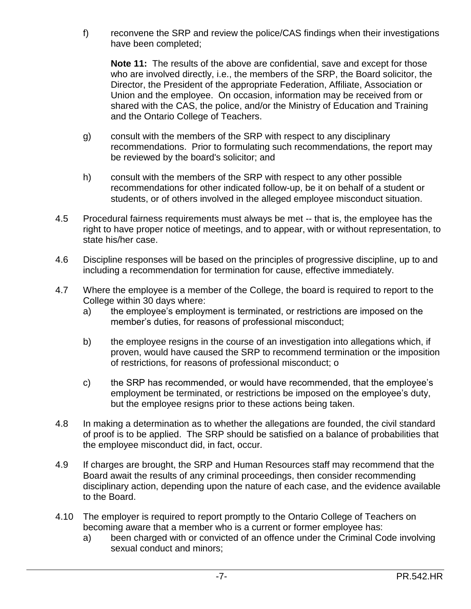f) reconvene the SRP and review the police/CAS findings when their investigations have been completed;

**Note 11:** The results of the above are confidential, save and except for those who are involved directly, i.e., the members of the SRP, the Board solicitor, the Director, the President of the appropriate Federation, Affiliate, Association or Union and the employee. On occasion, information may be received from or shared with the CAS, the police, and/or the Ministry of Education and Training and the Ontario College of Teachers.

- g) consult with the members of the SRP with respect to any disciplinary recommendations. Prior to formulating such recommendations, the report may be reviewed by the board's solicitor; and
- h) consult with the members of the SRP with respect to any other possible recommendations for other indicated follow-up, be it on behalf of a student or students, or of others involved in the alleged employee misconduct situation.
- 4.5 Procedural fairness requirements must always be met -- that is, the employee has the right to have proper notice of meetings, and to appear, with or without representation, to state his/her case.
- 4.6 Discipline responses will be based on the principles of progressive discipline, up to and including a recommendation for termination for cause, effective immediately.
- 4.7 Where the employee is a member of the College, the board is required to report to the College within 30 days where:
	- a) the employee's employment is terminated, or restrictions are imposed on the member's duties, for reasons of professional misconduct;
	- b) the employee resigns in the course of an investigation into allegations which, if proven, would have caused the SRP to recommend termination or the imposition of restrictions, for reasons of professional misconduct; o
	- c) the SRP has recommended, or would have recommended, that the employee's employment be terminated, or restrictions be imposed on the employee's duty, but the employee resigns prior to these actions being taken.
- 4.8 In making a determination as to whether the allegations are founded, the civil standard of proof is to be applied. The SRP should be satisfied on a balance of probabilities that the employee misconduct did, in fact, occur*.*
- 4.9 If charges are brought, the SRP and Human Resources staff may recommend that the Board await the results of any criminal proceedings, then consider recommending disciplinary action, depending upon the nature of each case, and the evidence available to the Board.
- 4.10 The employer is required to report promptly to the Ontario College of Teachers on becoming aware that a member who is a current or former employee has:
	- a) been charged with or convicted of an offence under the Criminal Code involving sexual conduct and minors;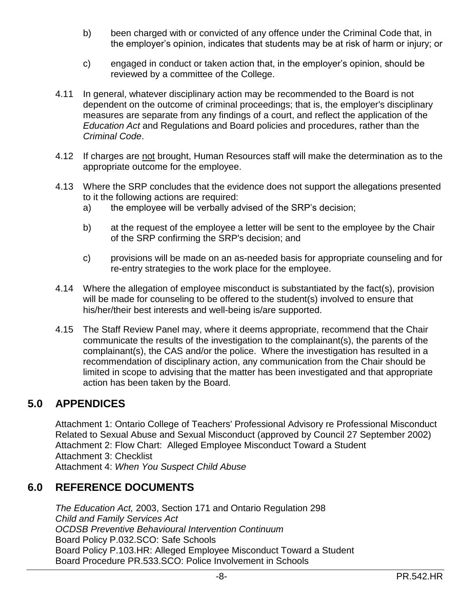- b) been charged with or convicted of any offence under the Criminal Code that, in the employer's opinion, indicates that students may be at risk of harm or injury; or
- c) engaged in conduct or taken action that, in the employer's opinion, should be reviewed by a committee of the College.
- 4.11 In general, whatever disciplinary action may be recommended to the Board is not dependent on the outcome of criminal proceedings; that is, the employer's disciplinary measures are separate from any findings of a court, and reflect the application of the *Education Act* and Regulations and Board policies and procedures, rather than the *Criminal Code*.
- 4.12 If charges are not brought, Human Resources staff will make the determination as to the appropriate outcome for the employee.
- 4.13 Where the SRP concludes that the evidence does not support the allegations presented to it the following actions are required:
	- a) the employee will be verbally advised of the SRP's decision;
	- b) at the request of the employee a letter will be sent to the employee by the Chair of the SRP confirming the SRP's decision; and
	- c) provisions will be made on an as-needed basis for appropriate counseling and for re-entry strategies to the work place for the employee.
- 4.14 Where the allegation of employee misconduct is substantiated by the fact(s), provision will be made for counseling to be offered to the student(s) involved to ensure that his/her/their best interests and well-being is/are supported.
- 4.15 The Staff Review Panel may, where it deems appropriate, recommend that the Chair communicate the results of the investigation to the complainant(s), the parents of the complainant(s), the CAS and/or the police. Where the investigation has resulted in a recommendation of disciplinary action, any communication from the Chair should be limited in scope to advising that the matter has been investigated and that appropriate action has been taken by the Board.

## **5.0 APPENDICES**

Attachment 1: Ontario College of Teachers' Professional Advisory re Professional Misconduct Related to Sexual Abuse and Sexual Misconduct (approved by Council 27 September 2002) Attachment 2: Flow Chart: Alleged Employee Misconduct Toward a Student Attachment 3: Checklist Attachment 4: *When You Suspect Child Abuse* 

## **6.0 REFERENCE DOCUMENTS**

*The Education Act,* 2003, Section 171 and Ontario Regulation 298 *Child and Family Services Act OCDSB Preventive Behavioural Intervention Continuum*  Board Policy P.032.SCO: Safe Schools Board Policy P.103.HR: Alleged Employee Misconduct Toward a Student Board Procedure PR.533.SCO: Police Involvement in Schools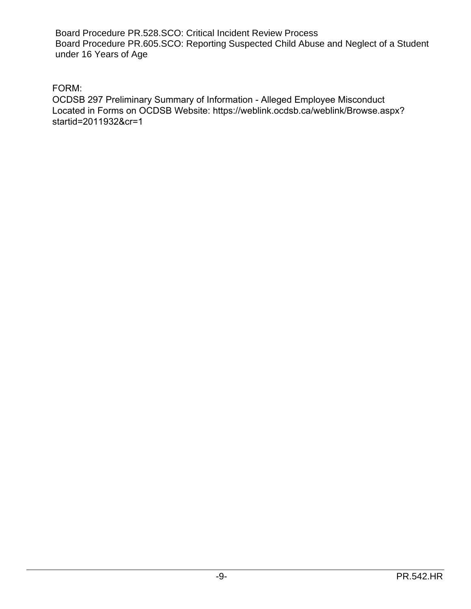Board Procedure PR.528.SCO: Critical Incident Review Process Board Procedure PR.605.SCO: Reporting Suspected Child Abuse and Neglect of a Student under 16 Years of Age

FORM:

OCDSB 297 Preliminary Summary of Information - Alleged Employee Misconduct Located in Forms on OCDSB Website: https://weblink.ocdsb.ca/weblink/Browse.aspx? startid=2011932&cr=1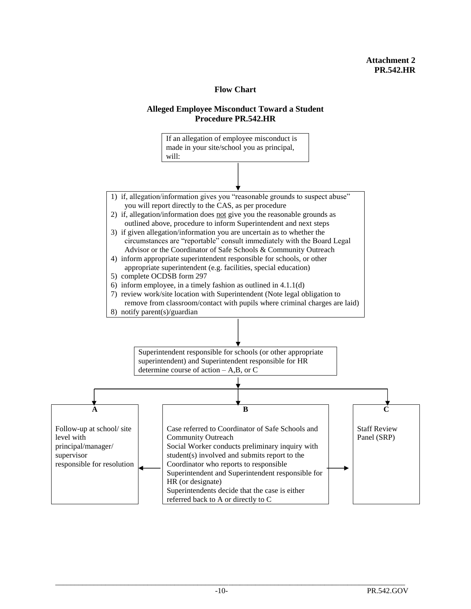#### **Flow Chart**

#### **Alleged Employee Misconduct Toward a Student Procedure PR.542.HR**

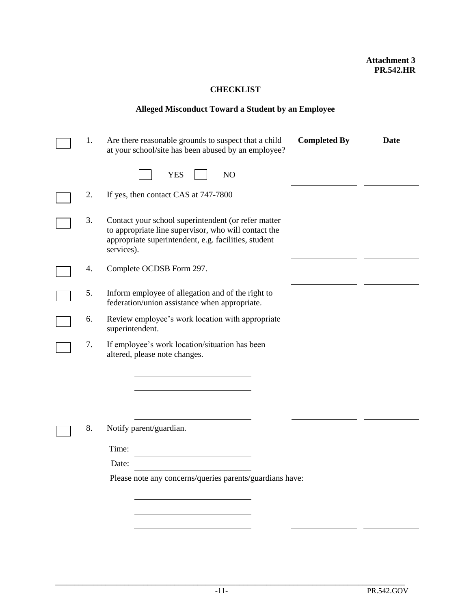#### **CHECKLIST**

### **Alleged Misconduct Toward a Student by an Employee**

| 1. | Are there reasonable grounds to suspect that a child<br>at your school/site has been abused by an employee?                                                                       | <b>Completed By</b> | <b>Date</b> |  |  |
|----|-----------------------------------------------------------------------------------------------------------------------------------------------------------------------------------|---------------------|-------------|--|--|
|    | <b>YES</b><br>N <sub>O</sub>                                                                                                                                                      |                     |             |  |  |
| 2. | If yes, then contact CAS at 747-7800                                                                                                                                              |                     |             |  |  |
| 3. | Contact your school superintendent (or refer matter<br>to appropriate line supervisor, who will contact the<br>appropriate superintendent, e.g. facilities, student<br>services). |                     |             |  |  |
| 4. | Complete OCDSB Form 297.                                                                                                                                                          |                     |             |  |  |
| 5. | Inform employee of allegation and of the right to<br>federation/union assistance when appropriate.                                                                                |                     |             |  |  |
| 6. | Review employee's work location with appropriate<br>superintendent.                                                                                                               |                     |             |  |  |
| 7. | If employee's work location/situation has been<br>altered, please note changes.                                                                                                   |                     |             |  |  |
| 8. | Notify parent/guardian.                                                                                                                                                           |                     |             |  |  |
|    | Time:                                                                                                                                                                             |                     |             |  |  |
|    | Date:                                                                                                                                                                             |                     |             |  |  |
|    | Please note any concerns/queries parents/guardians have:                                                                                                                          |                     |             |  |  |
|    |                                                                                                                                                                                   |                     |             |  |  |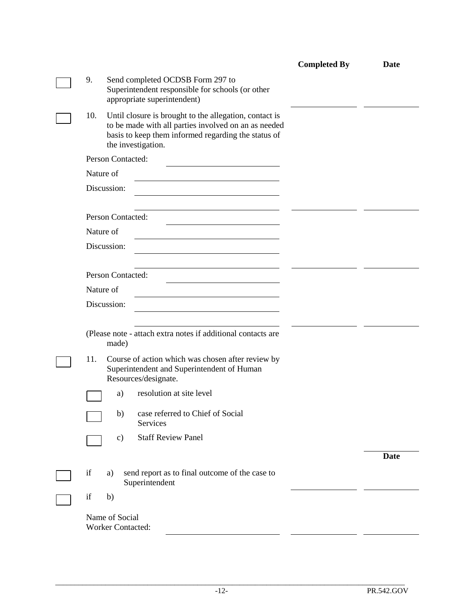|  |                                                                                                                                                                                                    | <b>Completed By</b> | <b>Date</b> |
|--|----------------------------------------------------------------------------------------------------------------------------------------------------------------------------------------------------|---------------------|-------------|
|  | 9.<br>Send completed OCDSB Form 297 to<br>Superintendent responsible for schools (or other<br>appropriate superintendent)                                                                          |                     |             |
|  | Until closure is brought to the allegation, contact is<br>10.<br>to be made with all parties involved on an as needed<br>basis to keep them informed regarding the status of<br>the investigation. |                     |             |
|  | Person Contacted:                                                                                                                                                                                  |                     |             |
|  | Nature of                                                                                                                                                                                          |                     |             |
|  | Discussion:                                                                                                                                                                                        |                     |             |
|  | Person Contacted:                                                                                                                                                                                  |                     |             |
|  | Nature of                                                                                                                                                                                          |                     |             |
|  | Discussion:                                                                                                                                                                                        |                     |             |
|  | Person Contacted:                                                                                                                                                                                  |                     |             |
|  | Nature of                                                                                                                                                                                          |                     |             |
|  | Discussion:                                                                                                                                                                                        |                     |             |
|  | (Please note - attach extra notes if additional contacts are<br>made)                                                                                                                              |                     |             |
|  | 11.<br>Course of action which was chosen after review by<br>Superintendent and Superintendent of Human<br>Resources/designate.                                                                     |                     |             |
|  | resolution at site level<br>a)                                                                                                                                                                     |                     |             |
|  | case referred to Chief of Social<br>b)<br>Services                                                                                                                                                 |                     |             |
|  | <b>Staff Review Panel</b><br>$\mathbf{c})$                                                                                                                                                         |                     |             |
|  |                                                                                                                                                                                                    |                     | <b>Date</b> |
|  | if<br>send report as to final outcome of the case to<br>a)<br>Superintendent                                                                                                                       |                     |             |
|  | if<br>b)                                                                                                                                                                                           |                     |             |
|  | Name of Social<br><b>Worker Contacted:</b>                                                                                                                                                         |                     |             |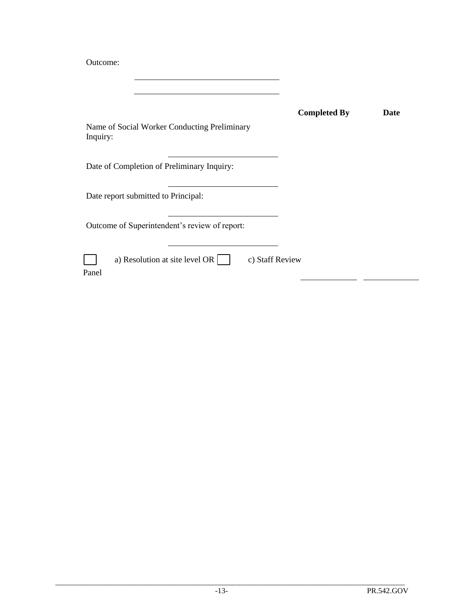Outcome:

| Name of Social Worker Conducting Preliminary<br>Inquiry:           | <b>Completed By</b> | Date |
|--------------------------------------------------------------------|---------------------|------|
| Date of Completion of Preliminary Inquiry:                         |                     |      |
| Date report submitted to Principal:                                |                     |      |
| Outcome of Superintendent's review of report:                      |                     |      |
| a) Resolution at site level OR $\vert$<br>c) Staff Review<br>Panel |                     |      |